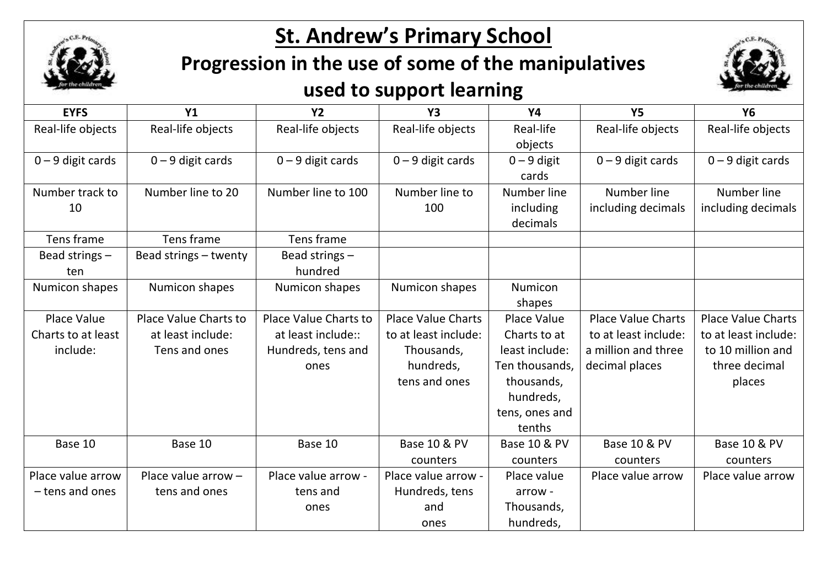

## **St. Andrew's Primary School**

**Progression in the use of some of the manipulatives** 

## **used to support learning**



| <b>EYFS</b>                                          | <b>Y1</b>                                                   | <b>Y2</b>                                                                 | <b>Y3</b>                                                                                     | <b>Y4</b>                                                                                                                     | <b>Y5</b>                                                                                  | <b>Y6</b>                                                                                         |
|------------------------------------------------------|-------------------------------------------------------------|---------------------------------------------------------------------------|-----------------------------------------------------------------------------------------------|-------------------------------------------------------------------------------------------------------------------------------|--------------------------------------------------------------------------------------------|---------------------------------------------------------------------------------------------------|
| Real-life objects                                    | Real-life objects                                           | Real-life objects                                                         | Real-life objects                                                                             | Real-life<br>objects                                                                                                          | Real-life objects                                                                          | Real-life objects                                                                                 |
| $0 - 9$ digit cards                                  | $0 - 9$ digit cards                                         | $0 - 9$ digit cards                                                       | $0 - 9$ digit cards                                                                           | $0 - 9$ digit<br>cards                                                                                                        | $0 - 9$ digit cards                                                                        | $0 - 9$ digit cards                                                                               |
| Number track to<br>10                                | Number line to 20                                           | Number line to 100                                                        | Number line to<br>100                                                                         | Number line<br>including<br>decimals                                                                                          | Number line<br>including decimals                                                          | Number line<br>including decimals                                                                 |
| Tens frame                                           | Tens frame                                                  | Tens frame                                                                |                                                                                               |                                                                                                                               |                                                                                            |                                                                                                   |
| Bead strings -<br>ten                                | Bead strings - twenty                                       | Bead strings $-$<br>hundred                                               |                                                                                               |                                                                                                                               |                                                                                            |                                                                                                   |
| Numicon shapes                                       | Numicon shapes                                              | Numicon shapes                                                            | Numicon shapes                                                                                | Numicon<br>shapes                                                                                                             |                                                                                            |                                                                                                   |
| <b>Place Value</b><br>Charts to at least<br>include: | Place Value Charts to<br>at least include:<br>Tens and ones | Place Value Charts to<br>at least include::<br>Hundreds, tens and<br>ones | <b>Place Value Charts</b><br>to at least include:<br>Thousands,<br>hundreds,<br>tens and ones | <b>Place Value</b><br>Charts to at<br>least include:<br>Ten thousands,<br>thousands,<br>hundreds,<br>tens, ones and<br>tenths | <b>Place Value Charts</b><br>to at least include:<br>a million and three<br>decimal places | <b>Place Value Charts</b><br>to at least include:<br>to 10 million and<br>three decimal<br>places |
| Base 10                                              | Base 10                                                     | Base 10                                                                   | <b>Base 10 &amp; PV</b><br>counters                                                           | <b>Base 10 &amp; PV</b><br>counters                                                                                           | <b>Base 10 &amp; PV</b><br>counters                                                        | <b>Base 10 &amp; PV</b><br>counters                                                               |
| Place value arrow<br>- tens and ones                 | Place value arrow -<br>tens and ones                        | Place value arrow -<br>tens and<br>ones                                   | Place value arrow -<br>Hundreds, tens<br>and<br>ones                                          | Place value<br>arrow -<br>Thousands,<br>hundreds,                                                                             | Place value arrow                                                                          | Place value arrow                                                                                 |